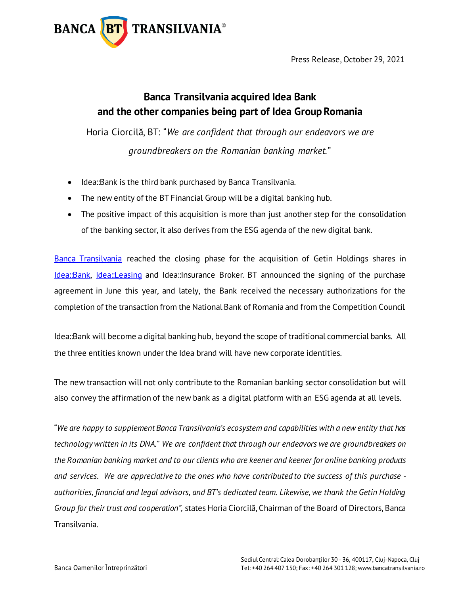

Press Release, October 29, 2021

## **Banca Transilvania acquired Idea Bank and the other companies being part of Idea Group Romania**

Horia Ciorcilă, BT: "*We are confident that through our endeavors we are groundbreakers on the Romanian banking market.*"

- Idea::Bank is the third bank purchased by Banca Transilvania.
- The new entity of the BT Financial Group will be a digital banking hub.
- The positive impact of this acquisition is more than just another step for the consolidation of the banking sector, it also derives from the ESG agenda of the new digital bank.

[Banca Transilvania](https://www.bancatransilvania.ro/) reached the closing phase for the acquisition of Getin Holdings shares in [Idea::Bank,](https://ro.idea-bank.ro/) [Idea::Leasing](https://www.idealeasing.ro/) and Idea::Insurance Broker. BT announced the signing of the purchase agreement in June this year, and lately, the Bank received the necessary authorizations for the completion of the transaction from the National Bank of Romania and from the Competition Council.

Idea::Bank will become a digital banking hub, beyond the scope of traditional commercial banks. All the three entities known under the Idea brand will have new corporate identities.

The new transaction will not only contribute to the Romanian banking sector consolidation but will also convey the affirmation of the new bank as a digital platform with an ESG agenda at all levels.

"*We are happy to supplement Banca Transilvania's ecosystem and capabilities with a new entity that has technology written in its DNA.*" *We are confident that through our endeavors we are groundbreakers on the Romanian banking market and to our clients who are keener and keener for online banking products and services. We are appreciative to the ones who have contributed to the success of this purchase authorities, financial and legal advisors, and BT's dedicated team. Likewise, we thank the Getin Holding Group for their trust and cooperation",* states Horia Ciorcilă, Chairman of the Board of Directors, Banca Transilvania.